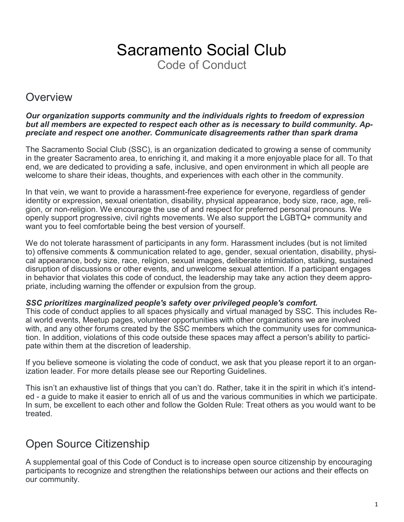# Sacramento Social Club Code of Conduct

### **Overview**

#### *Our organization supports community and the individuals rights to freedom of expression but all members are expected to respect each other as is necessary to build community. Appreciate and respect one another. Communicate disagreements rather than spark drama*

The Sacramento Social Club (SSC), is an organization dedicated to growing a sense of community in the greater Sacramento area, to enriching it, and making it a more enjoyable place for all. To that end, we are dedicated to providing a safe, inclusive, and open environment in which all people are welcome to share their ideas, thoughts, and experiences with each other in the community.

In that vein, we want to provide a harassment-free experience for everyone, regardless of gender identity or expression, sexual orientation, disability, physical appearance, body size, race, age, religion, or non-religion. We encourage the use of and respect for preferred personal pronouns. We openly support progressive, civil rights movements. We also support the LGBTQ+ community and want you to feel comfortable being the best version of yourself.

We do not tolerate harassment of participants in any form. Harassment includes (but is not limited to) offensive comments & communication related to age, gender, sexual orientation, disability, physical appearance, body size, race, religion, sexual images, deliberate intimidation, stalking, sustained disruption of discussions or other events, and unwelcome sexual attention. If a participant engages in behavior that violates this code of conduct, the leadership may take any action they deem appropriate, including warning the offender or expulsion from the group.

#### *SSC prioritizes marginalized people's safety over privileged people's comfort.*

This code of conduct applies to all spaces physically and virtual managed by SSC. This includes Real world events, Meetup pages, volunteer opportunities with other organizations we are involved with, and any other forums created by the SSC members which the community uses for communication. In addition, violations of this code outside these spaces may affect a person's ability to participate within them at the discretion of leadership.

If you believe someone is violating the code of conduct, we ask that you please report it to an organization leader. For more details please see our Reporting Guidelines.

This isn't an exhaustive list of things that you can't do. Rather, take it in the spirit in which it's intended - a guide to make it easier to enrich all of us and the various communities in which we participate. In sum, be excellent to each other and follow the Golden Rule: Treat others as you would want to be treated.

# Open Source Citizenship

A supplemental goal of this Code of Conduct is to increase open source citizenship by encouraging participants to recognize and strengthen the relationships between our actions and their effects on our community.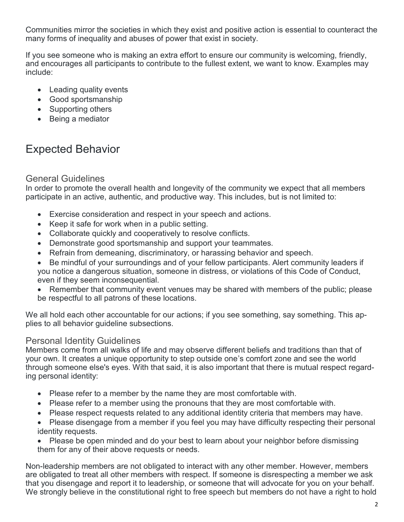Communities mirror the societies in which they exist and positive action is essential to counteract the many forms of inequality and abuses of power that exist in society.

If you see someone who is making an extra effort to ensure our community is welcoming, friendly, and encourages all participants to contribute to the fullest extent, we want to know. Examples may include:

- Leading quality events
- Good sportsmanship
- Supporting others
- Being a mediator

# Expected Behavior

### General Guidelines

In order to promote the overall health and longevity of the community we expect that all members participate in an active, authentic, and productive way. This includes, but is not limited to:

- Exercise consideration and respect in your speech and actions.
- Keep it safe for work when in a public setting.
- Collaborate quickly and cooperatively to resolve conflicts.
- Demonstrate good sportsmanship and support your teammates.
- Refrain from demeaning, discriminatory, or harassing behavior and speech.
- Be mindful of your surroundings and of your fellow participants. Alert community leaders if you notice a dangerous situation, someone in distress, or violations of this Code of Conduct, even if they seem inconsequential.
- Remember that community event venues may be shared with members of the public; please be respectful to all patrons of these locations.

We all hold each other accountable for our actions; if you see something, say something. This applies to all behavior guideline subsections.

#### Personal Identity Guidelines

Members come from all walks of life and may observe different beliefs and traditions than that of your own. It creates a unique opportunity to step outside one's comfort zone and see the world through someone else's eyes. With that said, it is also important that there is mutual respect regarding personal identity:

- Please refer to a member by the name they are most comfortable with.
- Please refer to a member using the pronouns that they are most comfortable with.
- Please respect requests related to any additional identity criteria that members may have.
- Please disengage from a member if you feel you may have difficulty respecting their personal identity requests.
- Please be open minded and do your best to learn about your neighbor before dismissing them for any of their above requests or needs.

Non-leadership members are not obligated to interact with any other member. However, members are obligated to treat all other members with respect. If someone is disrespecting a member we ask that you disengage and report it to leadership, or someone that will advocate for you on your behalf. We strongly believe in the constitutional right to free speech but members do not have a right to hold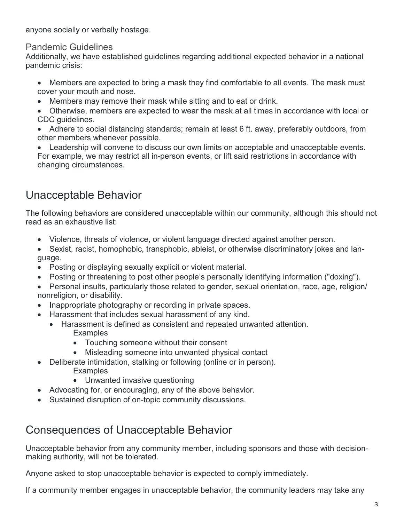anyone socially or verbally hostage.

Pandemic Guidelines

Additionally, we have established guidelines regarding additional expected behavior in a national pandemic crisis:

- Members are expected to bring a mask they find comfortable to all events. The mask must cover your mouth and nose.
- Members may remove their mask while sitting and to eat or drink.
- Otherwise, members are expected to wear the mask at all times in accordance with local or CDC guidelines.
- Adhere to social distancing standards; remain at least 6 ft. away, preferably outdoors, from other members whenever possible.

 Leadership will convene to discuss our own limits on acceptable and unacceptable events. For example, we may restrict all in-person events, or lift said restrictions in accordance with changing circumstances.

# Unacceptable Behavior

The following behaviors are considered unacceptable within our community, although this should not read as an exhaustive list:

- Violence, threats of violence, or violent language directed against another person.
- Sexist, racist, homophobic, transphobic, ableist, or otherwise discriminatory jokes and language.
- Posting or displaying sexually explicit or violent material.
- Posting or threatening to post other people's personally identifying information ("doxing").
- Personal insults, particularly those related to gender, sexual orientation, race, age, religion/ nonreligion, or disability.
- Inappropriate photography or recording in private spaces.
- Harassment that includes sexual harassment of any kind.
	- Harassment is defined as consistent and repeated unwanted attention. **Examples** 
		- Touching someone without their consent
		- Misleading someone into unwanted physical contact
- Deliberate intimidation, stalking or following (online or in person). **Examples** 
	- Unwanted invasive questioning
- Advocating for, or encouraging, any of the above behavior.
- Sustained disruption of on-topic community discussions.

### Consequences of Unacceptable Behavior

Unacceptable behavior from any community member, including sponsors and those with decisionmaking authority, will not be tolerated.

Anyone asked to stop unacceptable behavior is expected to comply immediately.

If a community member engages in unacceptable behavior, the community leaders may take any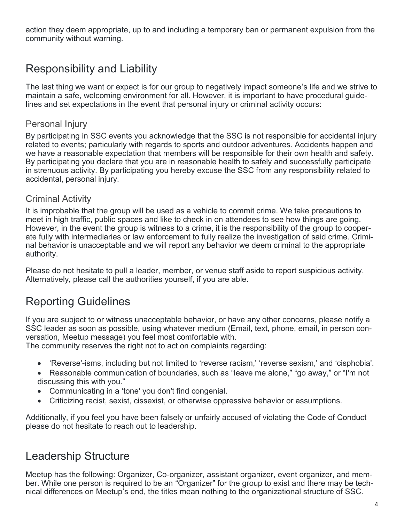action they deem appropriate, up to and including a temporary ban or permanent expulsion from the community without warning.

# Responsibility and Liability

The last thing we want or expect is for our group to negatively impact someone's life and we strive to maintain a safe, welcoming environment for all. However, it is important to have procedural guidelines and set expectations in the event that personal injury or criminal activity occurs:

### Personal Injury

By participating in SSC events you acknowledge that the SSC is not responsible for accidental injury related to events; particularly with regards to sports and outdoor adventures. Accidents happen and we have a reasonable expectation that members will be responsible for their own health and safety. By participating you declare that you are in reasonable health to safely and successfully participate in strenuous activity. By participating you hereby excuse the SSC from any responsibility related to accidental, personal injury.

#### Criminal Activity

It is improbable that the group will be used as a vehicle to commit crime. We take precautions to meet in high traffic, public spaces and like to check in on attendees to see how things are going. However, in the event the group is witness to a crime, it is the responsibility of the group to cooperate fully with intermediaries or law enforcement to fully realize the investigation of said crime. Criminal behavior is unacceptable and we will report any behavior we deem criminal to the appropriate authority.

Please do not hesitate to pull a leader, member, or venue staff aside to report suspicious activity. Alternatively, please call the authorities yourself, if you are able.

# Reporting Guidelines

If you are subject to or witness unacceptable behavior, or have any other concerns, please notify a SSC leader as soon as possible, using whatever medium (Email, text, phone, email, in person conversation, Meetup message) you feel most comfortable with.

The community reserves the right not to act on complaints regarding:

- 'Reverse'-isms, including but not limited to 'reverse racism,' 'reverse sexism,' and 'cisphobia'.
- Reasonable communication of boundaries, such as "leave me alone," "go away," or "I'm not discussing this with you."
- Communicating in a 'tone' you don't find congenial.
- Criticizing racist, sexist, cissexist, or otherwise oppressive behavior or assumptions.

Additionally, if you feel you have been falsely or unfairly accused of violating the Code of Conduct please do not hesitate to reach out to leadership.

### Leadership Structure

Meetup has the following: Organizer, Co-organizer, assistant organizer, event organizer, and member. While one person is required to be an "Organizer" for the group to exist and there may be technical differences on Meetup's end, the titles mean nothing to the organizational structure of SSC.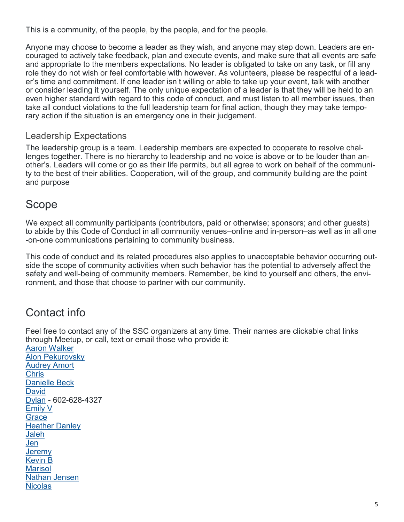This is a community, of the people, by the people, and for the people.

Anyone may choose to become a leader as they wish, and anyone may step down. Leaders are encouraged to actively take feedback, plan and execute events, and make sure that all events are safe and appropriate to the members expectations. No leader is obligated to take on any task, or fill any role they do not wish or feel comfortable with however. As volunteers, please be respectful of a leader's time and commitment. If one leader isn't willing or able to take up your event, talk with another or consider leading it yourself. The only unique expectation of a leader is that they will be held to an even higher standard with regard to this code of conduct, and must listen to all member issues, then take all conduct violations to the full leadership team for final action, though they may take temporary action if the situation is an emergency one in their judgement.

#### Leadership Expectations

The leadership group is a team. Leadership members are expected to cooperate to resolve challenges together. There is no hierarchy to leadership and no voice is above or to be louder than another's. Leaders will come or go as their life permits, but all agree to work on behalf of the community to the best of their abilities. Cooperation, will of the group, and community building are the point and purpose

### Scope

We expect all community participants (contributors, paid or otherwise; sponsors; and other guests) to abide by this Code of Conduct in all community venues–online and in-person–as well as in all one -on-one communications pertaining to community business.

This code of conduct and its related procedures also applies to unacceptable behavior occurring outside the scope of community activities when such behavior has the potential to adversely affect the safety and well-being of community members. Remember, be kind to yourself and others, the environment, and those that choose to partner with our community.

# Contact info

Feel free to contact any of the SSC organizers at any time. Their names are clickable chat links through Meetup, or call, text or email those who provide it:

[Aaron Walker](https://www.meetup.com/messages/?new_convo=true&member_id=243782105&name=Aaron+Walker) [Alon Pekurovsky](https://www.meetup.com/messages/?new_convo=true&member_id=297261381&name=Alon+Pekurovsky) **[Audrey Amort](https://www.meetup.com/messages/?new_convo=true&member_id=259162400&name=Audrey+Amort)** [Chris](https://www.meetup.com/messages/?new_convo=true&member_id=42271112&name=Chris) [Danielle Beck](https://www.meetup.com/messages/?new_convo=true&member_id=322785181&name=Danielle+Beck) **[David](https://www.meetup.com/messages/?new_convo=true&member_id=277176923&name=David)** [Dylan](https://www.meetup.com/messages/?new_convo=true&member_id=2584961&name=Dylan) - 602-628-4327 [Emily V](https://www.meetup.com/messages/?new_convo=true&member_id=231886328&name=Emily+V) **[Grace](https://www.meetup.com/messages/?new_convo=true&member_id=245350461&name=Grace)** [Heather Danley](https://www.meetup.com/messages/?new_convo=true&member_id=304216595&name=Heather+Danley) [Jaleh](https://www.meetup.com/messages/?new_convo=true&member_id=728361&name=Jaleh) [Jen](https://www.meetup.com/messages/?new_convo=true&member_id=232770773&name=Jen) **[Jeremy](ttps://www.meetup.com/messages/?new_convo=true&member_id=302140147&name=Jeremy)** [Kevin B](https://www.meetup.com/messages/?new_convo=true&member_id=242848585&name=Kevin+B) **[Marisol](https://www.meetup.com/messages/?new_convo=true&member_id=23497251&name=Marisol)** [Nathan Jensen](https://www.meetup.com/messages/?new_convo=true&member_id=298716976&name=Nathan+Jensen) **[Nicolas](https://www.meetup.com/messages/?new_convo=true&member_id=150738302&name=Nicholas)**